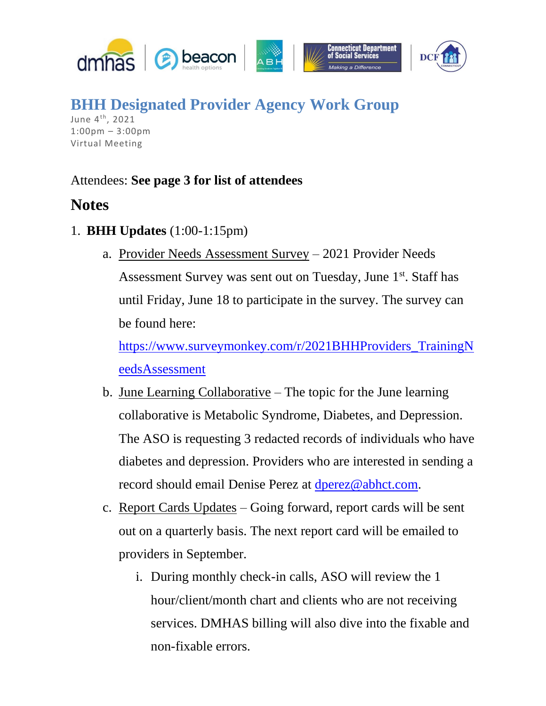

**BHH Designated Provider Agency Work Group** June 4<sup>th</sup>, 2021

1:00pm – 3:00pm Virtual Meeting

## Attendees: **See page 3 for list of attendees**

## **Notes**

- 1. **BHH Updates** (1:00-1:15pm)
	- a. Provider Needs Assessment Survey 2021 Provider Needs Assessment Survey was sent out on Tuesday, June 1<sup>st</sup>. Staff has until Friday, June 18 to participate in the survey. The survey can be found here:

[https://www.surveymonkey.com/r/2021BHHProviders\\_TrainingN](https://www.surveymonkey.com/r/2021BHHProviders_TrainingNeedsAssessment) [eedsAssessment](https://www.surveymonkey.com/r/2021BHHProviders_TrainingNeedsAssessment)

- b. June Learning Collaborative The topic for the June learning collaborative is Metabolic Syndrome, Diabetes, and Depression. The ASO is requesting 3 redacted records of individuals who have diabetes and depression. Providers who are interested in sending a record should email Denise Perez at [dperez@abhct.com.](mailto:dperez@abhct.com)
- c. Report Cards Updates Going forward, report cards will be sent out on a quarterly basis. The next report card will be emailed to providers in September.
	- i. During monthly check-in calls, ASO will review the 1 hour/client/month chart and clients who are not receiving services. DMHAS billing will also dive into the fixable and non-fixable errors.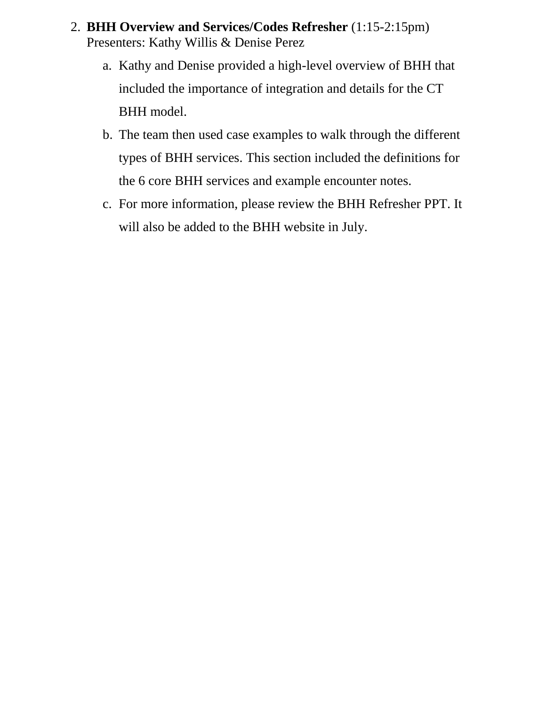- 2. **BHH Overview and Services/Codes Refresher** (1:15-2:15pm) Presenters: Kathy Willis & Denise Perez
	- a. Kathy and Denise provided a high-level overview of BHH that included the importance of integration and details for the CT BHH model.
	- b. The team then used case examples to walk through the different types of BHH services. This section included the definitions for the 6 core BHH services and example encounter notes.
	- c. For more information, please review the BHH Refresher PPT. It will also be added to the BHH website in July.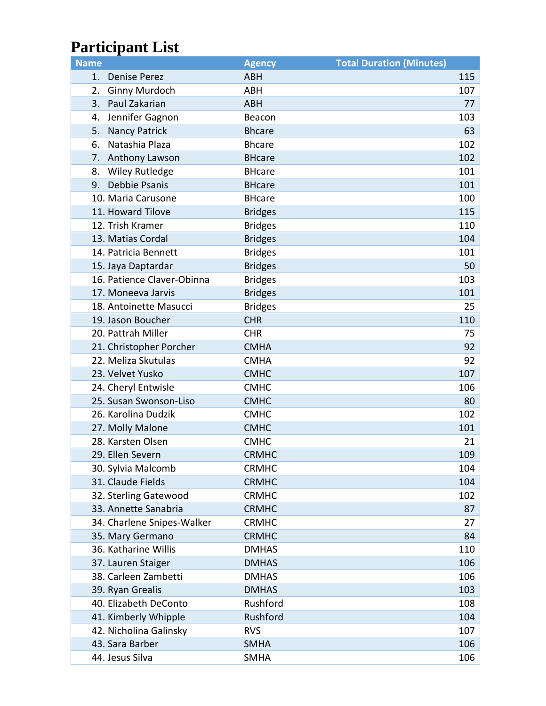## **Participant List**

| <b>Name</b> |                            | <b>Agency</b>  | <b>Total Duration (Minutes)</b> |     |
|-------------|----------------------------|----------------|---------------------------------|-----|
|             | 1. Denise Perez            | <b>ABH</b>     |                                 | 115 |
| 2.          | <b>Ginny Murdoch</b>       | <b>ABH</b>     |                                 | 107 |
| 3.          | Paul Zakarian              | <b>ABH</b>     |                                 | 77  |
| 4.          | Jennifer Gagnon            | Beacon         |                                 | 103 |
| 5.          | <b>Nancy Patrick</b>       | <b>Bhcare</b>  |                                 | 63  |
| 6.          | Natashia Plaza             | <b>Bhcare</b>  |                                 | 102 |
| 7.          | Anthony Lawson             | <b>BHcare</b>  |                                 | 102 |
| 8.          | <b>Wiley Rutledge</b>      | <b>BHcare</b>  |                                 | 101 |
| 9.          | Debbie Psanis              | <b>BHcare</b>  |                                 | 101 |
|             | 10. Maria Carusone         | <b>BHcare</b>  |                                 | 100 |
|             | 11. Howard Tilove          | <b>Bridges</b> |                                 | 115 |
|             | 12. Trish Kramer           | <b>Bridges</b> |                                 | 110 |
|             | 13. Matias Cordal          | <b>Bridges</b> |                                 | 104 |
|             | 14. Patricia Bennett       | <b>Bridges</b> |                                 | 101 |
|             | 15. Jaya Daptardar         | <b>Bridges</b> |                                 | 50  |
|             | 16. Patience Claver-Obinna | <b>Bridges</b> |                                 | 103 |
|             | 17. Moneeva Jarvis         | <b>Bridges</b> |                                 | 101 |
|             | 18. Antoinette Masucci     | <b>Bridges</b> |                                 | 25  |
|             | 19. Jason Boucher          | <b>CHR</b>     |                                 | 110 |
|             | 20. Pattrah Miller         | <b>CHR</b>     |                                 | 75  |
|             | 21. Christopher Porcher    | <b>CMHA</b>    |                                 | 92  |
|             | 22. Meliza Skutulas        | <b>CMHA</b>    |                                 | 92  |
|             | 23. Velvet Yusko           | <b>CMHC</b>    |                                 | 107 |
|             | 24. Cheryl Entwisle        | <b>CMHC</b>    |                                 | 106 |
|             | 25. Susan Swonson-Liso     | <b>CMHC</b>    |                                 | 80  |
|             | 26. Karolina Dudzik        | <b>CMHC</b>    |                                 | 102 |
|             | 27. Molly Malone           | <b>CMHC</b>    |                                 | 101 |
|             | 28. Karsten Olsen          | <b>CMHC</b>    |                                 | 21  |
|             | 29. Ellen Severn           | <b>CRMHC</b>   |                                 | 109 |
|             | 30. Sylvia Malcomb         | <b>CRMHC</b>   |                                 | 104 |
|             | 31. Claude Fields          | <b>CRMHC</b>   |                                 | 104 |
|             | 32. Sterling Gatewood      | <b>CRMHC</b>   |                                 | 102 |
|             | 33. Annette Sanabria       | <b>CRMHC</b>   |                                 | 87  |
|             | 34. Charlene Snipes-Walker | <b>CRMHC</b>   |                                 | 27  |
|             | 35. Mary Germano           | <b>CRMHC</b>   |                                 | 84  |
|             | 36. Katharine Willis       | <b>DMHAS</b>   |                                 | 110 |
|             | 37. Lauren Staiger         | <b>DMHAS</b>   |                                 | 106 |
|             | 38. Carleen Zambetti       | <b>DMHAS</b>   |                                 | 106 |
|             | 39. Ryan Grealis           | <b>DMHAS</b>   |                                 | 103 |
|             | 40. Elizabeth DeConto      | Rushford       |                                 | 108 |
|             | 41. Kimberly Whipple       | Rushford       |                                 | 104 |
|             | 42. Nicholina Galinsky     | <b>RVS</b>     |                                 | 107 |
|             | 43. Sara Barber            | <b>SMHA</b>    |                                 | 106 |
|             | 44. Jesus Silva            | <b>SMHA</b>    |                                 | 106 |